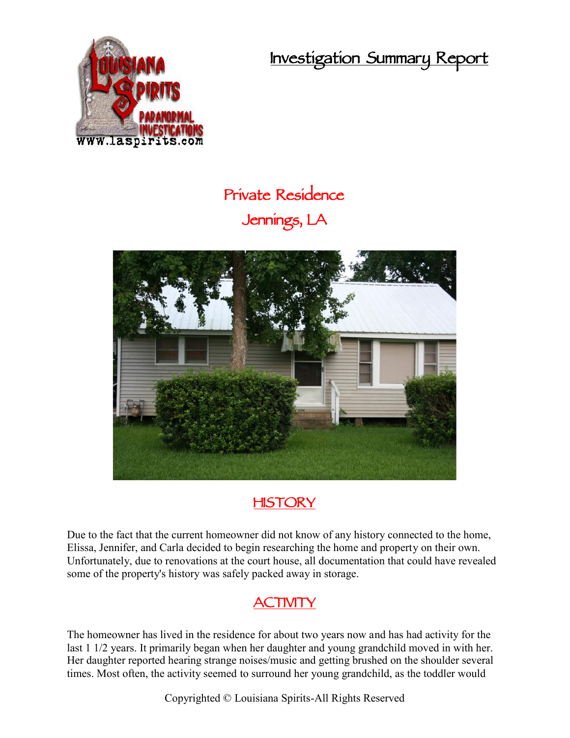**Investigation Summary Report**



## **Private Residence Jennings, LA**



## **HISTORY**

Due to the fact that the current homeowner did not know of any history connected to the home, Elissa, Jennifer, and Carla decided to begin researching the home and property on their own. Unfortunately, due to renovations at the court house, all documentation that could have revealed some of the property's history was safely packed away in storage.

## **ACTIVITY**

The homeowner has lived in the residence for about two years now and has had activity for the last 1 1/2 years. It primarily began when her daughter and young grandchild moved in with her. Her daughter reported hearing strange noises/music and getting brushed on the shoulder several times. Most often, the activity seemed to surround her young grandchild, as the toddler would

Copyrighted © Louisiana Spirits-All Rights Reserved